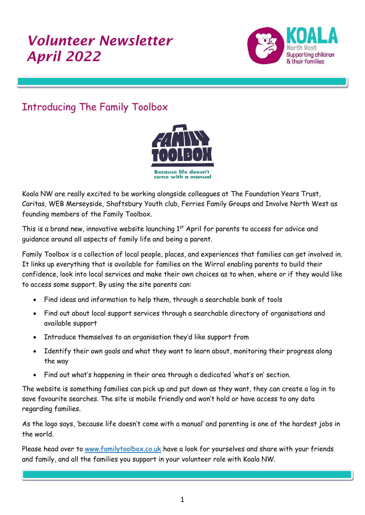# *Volunteer Newsletter April 2022*



# Introducing The Family Toolbox

I



Koala NW are really excited to be working alongside colleagues at The Foundation Years Trust, Caritas, WEB Merseyside, Shaftsbury Youth club, Ferries Family Groups and Involve North West as founding members of the Family Toolbox.

This is a brand new, innovative website launching 1<sup>st</sup> April for parents to access for advice and guidance around all aspects of family life and being a parent.

Family Toolbox is a collection of local people, places, and experiences that families can get involved in. It links up everything that is available for families on the Wirral enabling parents to build their confidence, look into local services and make their own choices as to when, where or if they would like to access some support. By using the site parents can:

- Find ideas and information to help them, through a searchable bank of tools
- Find out about local support services through a searchable directory of organisations and available support
- Introduce themselves to an organisation they'd like support from
- Identify their own goals and what they want to learn about, monitoring their progress along the way
- Find out what's happening in their area through a dedicated 'what's on' section.

The website is something families can pick up and put down as they want, they can create a log in to save favourite searches. The site is mobile friendly and won't hold or have access to any data regarding families.

As the logo says, 'because life doesn't come with a manual' and parenting is one of the hardest jobs in the world.

Please head over to [www.familytoolbox.co.uk](http://www.familytoolbox.co.uk/) have a look for yourselves and share with your friends and family, and all the families you support in your volunteer role with Koala NW.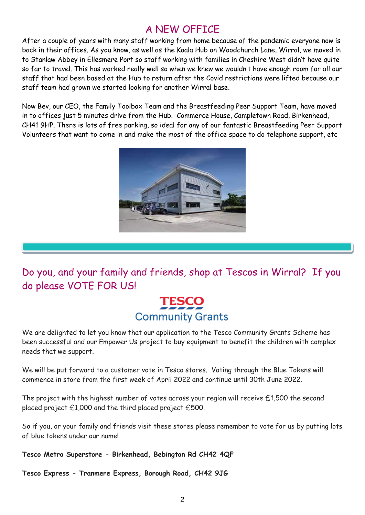# A NEW OFFICE

After a couple of years with many staff working from home because of the pandemic everyone now is back in their offices. As you know, as well as the Koala Hub on Woodchurch Lane, Wirral, we moved in to Stanlaw Abbey in Ellesmere Port so staff working with families in Cheshire West didn't have quite so far to travel. This has worked really well so when we knew we wouldn't have enough room for all our staff that had been based at the Hub to return after the Covid restrictions were lifted because our staff team had grown we started looking for another Wirral base.

Now Bev, our CEO, the Family Toolbox Team and the Breastfeeding Peer Support Team, have moved in to offices just 5 minutes drive from the Hub. Commerce House, Campletown Road, Birkenhead, CH41 9HP. There is lots of free parking, so ideal for any of our fantastic Breastfeeding Peer Support Volunteers that want to come in and make the most of the office space to do telephone support, etc



Do you, and your family and friends, shop at Tescos in Wirral? If you do please VOTE FOR US!

# **TESCO Community Grants**

We are delighted to let you know that our application to the Tesco Community Grants Scheme has been successful and our Empower Us project to buy equipment to benefit the children with complex needs that we support.

We will be put forward to a customer vote in Tesco stores. Voting through the Blue Tokens will commence in store from the first week of April 2022 and continue until 30th June 2022.

The project with the highest number of votes across your region will receive £1,500 the second placed project £1,000 and the third placed project £500.

So if you, or your family and friends visit these stores please remember to vote for us by putting lots of blue tokens under our name!

**Tesco Metro Superstore - Birkenhead, Bebington Rd CH42 4QF**

**Tesco Express - Tranmere Express, Borough Road, CH42 9JG**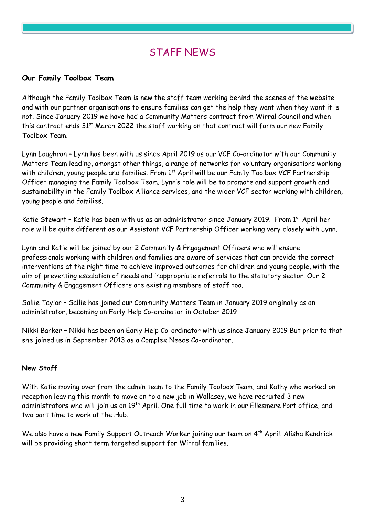### STAFF NEWS

#### **Our Family Toolbox Team**

Although the Family Toolbox Team is new the staff team working behind the scenes of the website and with our partner organisations to ensure families can get the help they want when they want it is not. Since January 2019 we have had a Community Matters contract from Wirral Council and when this contract ends 31<sup>st</sup> March 2022 the staff working on that contract will form our new Family Toolbox Team.

Lynn Loughran – Lynn has been with us since April 2019 as our VCF Co-ordinator with our Community Matters Team leading, amongst other things, a range of networks for voluntary organisations working with children, young people and families. From 1<sup>st</sup> April will be our Family Toolbox VCF Partnership Officer managing the Family Toolbox Team. Lynn's role will be to promote and support growth and sustainability in the Family Toolbox Alliance services, and the wider VCF sector working with children, young people and families.

Katie Stewart - Katie has been with us as an administrator since January 2019. From 1<sup>st</sup> April her role will be quite different as our Assistant VCF Partnership Officer working very closely with Lynn.

Lynn and Katie will be joined by our 2 Community & Engagement Officers who will ensure professionals working with children and families are aware of services that can provide the correct interventions at the right time to achieve improved outcomes for children and young people, with the aim of preventing escalation of needs and inappropriate referrals to the statutory sector. Our 2 Community & Engagement Officers are existing members of staff too.

Sallie Taylor – Sallie has joined our Community Matters Team in January 2019 originally as an administrator, becoming an Early Help Co-ordinator in October 2019

Nikki Barker – Nikki has been an Early Help Co-ordinator with us since January 2019 But prior to that she joined us in September 2013 as a Complex Needs Co-ordinator.

#### **New Staff**

With Katie moving over from the admin team to the Family Toolbox Team, and Kathy who worked on reception leaving this month to move on to a new job in Wallasey, we have recruited 3 new administrators who will join us on 19<sup>th</sup> April. One full time to work in our Ellesmere Port office, and two part time to work at the Hub.

We also have a new Family Support Outreach Worker joining our team on 4<sup>th</sup> April. Alisha Kendrick will be providing short term targeted support for Wirral families.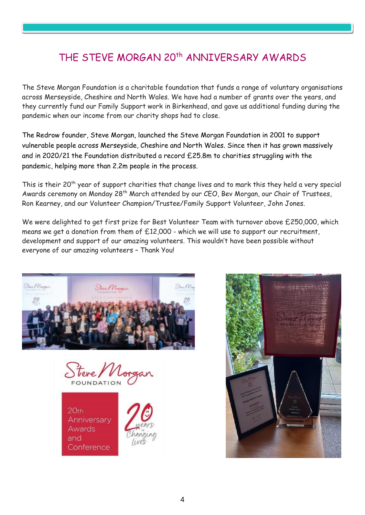# THE STEVE MORGAN 20th ANNIVERSARY AWARDS

The Steve Morgan Foundation is a charitable foundation that funds a range of voluntary organisations across Merseyside, Cheshire and North Wales. We have had a number of grants over the years, and they currently fund our Family Support work in Birkenhead, and gave us additional funding during the pandemic when our income from our charity shops had to close.

The Redrow founder, Steve Morgan, launched the Steve Morgan Foundation in 2001 to support vulnerable people across Merseyside, Cheshire and North Wales. Since then it has grown massively and in 2020/21 the Foundation distributed a record £25.8m to charities struggling with the pandemic, helping more than 2.2m people in the process.

This is their 20<sup>th</sup> year of support charities that change lives and to mark this they held a very special Awards ceremony on Monday 28<sup>th</sup> March attended by our CEO, Bev Morgan, our Chair of Trustees, Ron Kearney, and our Volunteer Champion/Trustee/Family Support Volunteer, John Jones.

We were delighted to get first prize for Best Volunteer Team with turnover above £250,000, which means we get a donation from them of £12,000 - which we will use to support our recruitment, development and support of our amazing volunteers. This wouldn't have been possible without everyone of our amazing volunteers – Thank You!





 $20<sub>th</sub>$ Anniversary Awards and Conference



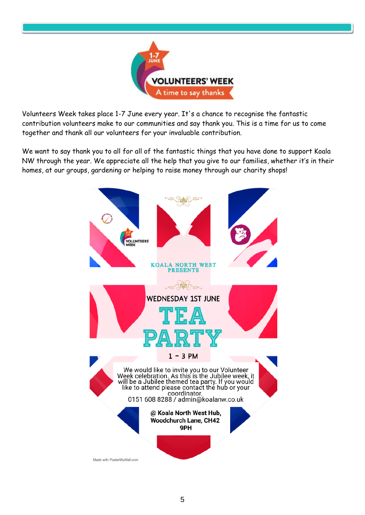

Volunteers Week takes place 1-7 June every year. It's a chance to recognise the fantastic contribution volunteers make to our communities and say thank you. This is a time for us to come together and thank all our volunteers for your invaluable contribution.

We want to say thank you to all for all of the fantastic things that you have done to support Koala NW through the year. We appreciate all the help that you give to our families, whether it's in their homes, at our groups, gardening or helping to raise money through our charity shops!

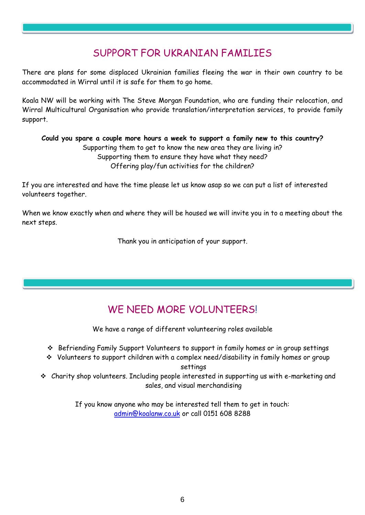# SUPPORT FOR UKRANIAN FAMILIES

There are plans for some displaced Ukrainian families fleeing the war in their own country to be accommodated in Wirral until it is safe for them to go home.

Koala NW will be working with The Steve Morgan Foundation, who are funding their relocation, and Wirral Multicultural Organisation who provide translation/interpretation services, to provide family support.

**Could you spare a couple more hours a week to support a family new to this country?** Supporting them to get to know the new area they are living in? Supporting them to ensure they have what they need? Offering play/fun activities for the children?

If you are interested and have the time please let us know asap so we can put a list of interested volunteers together.

When we know exactly when and where they will be housed we will invite you in to a meeting about the next steps.

Thank you in anticipation of your support.

# WE NEED MORE VOLUNTEERS!

We have a range of different volunteering roles available

- ❖ Befriending Family Support Volunteers to support in family homes or in group settings
- ❖ Volunteers to support children with a complex need/disability in family homes or group settings

❖ Charity shop volunteers. Including people interested in supporting us with e-marketing and sales, and visual merchandising

> If you know anyone who may be interested tell them to get in touch: [admin@koalanw.co.uk](mailto:admin@koalanw.co.uk) or call 0151 608 8288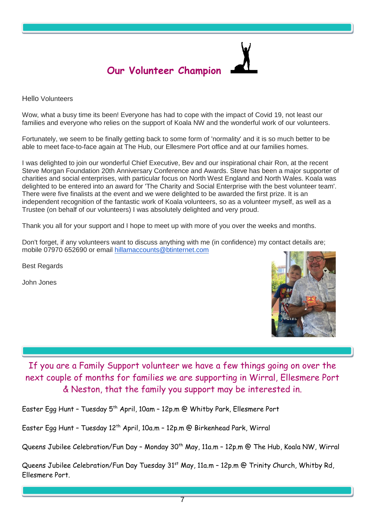

Hello Volunteers

Wow, what a busy time its been! Everyone has had to cope with the impact of Covid 19, not least our families and everyone who relies on the support of Koala NW and the wonderful work of our volunteers.

Fortunately, we seem to be finally getting back to some form of 'normality' and it is so much better to be able to meet face-to-face again at The Hub, our Ellesmere Port office and at our families homes.

I was delighted to join our wonderful Chief Executive, Bev and our inspirational chair Ron, at the recent Steve Morgan Foundation 20th Anniversary Conference and Awards. Steve has been a major supporter of charities and social enterprises, with particular focus on North West England and North Wales. Koala was delighted to be entered into an award for 'The Charity and Social Enterprise with the best volunteer team'. There were five finalists at the event and we were delighted to be awarded the first prize. It is an independent recognition of the fantastic work of Koala volunteers, so as a volunteer myself, as well as a Trustee (on behalf of our volunteers) I was absolutely delighted and very proud.

Thank you all for your support and I hope to meet up with more of you over the weeks and months.

Don't forget, if any volunteers want to discuss anything with me (in confidence) my contact details are; mobile 07970 652690 or email [hillamaccounts@btinternet.com](mailto:hillamaccounts@btinternet.com)

Best Regards

John Jones



If you are a Family Support volunteer we have a few things going on over the next couple of months for families we are supporting in Wirral, Ellesmere Port & Neston, that the family you support may be interested in.

Easter Egg Hunt - Tuesday 5<sup>th</sup> April, 10am - 12p.m @ Whitby Park, Ellesmere Port

Easter Egg Hunt - Tuesday 12<sup>th</sup> April, 10a.m - 12p.m @ Birkenhead Park, Wirral

Queens Jubilee Celebration/Fun Day - Monday 30<sup>th</sup> May, 11a.m - 12p.m @ The Hub, Koala NW, Wirral

Queens Jubilee Celebration/Fun Day Tuesday 31<sup>st</sup> May, 11a.m - 12p.m @ Trinity Church, Whitby Rd, Ellesmere Port.